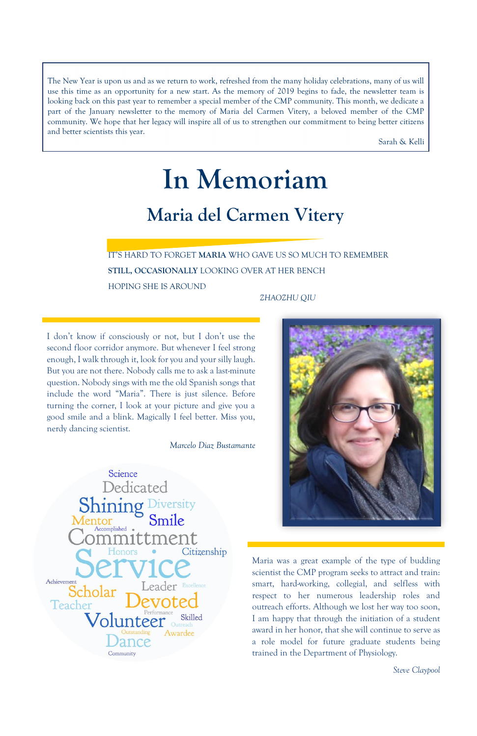IT'S HARD TO FORGET **MARIA** WHO GAVE US SO MUCH TO REMEMBER **STILL, OCCASIONALLY** LOOKING OVER AT HER BENCH HOPING SHE IS AROUND

*ZHAOZHU QIU*

I don't know if consciously or not, but I don't use the second floor corridor anymore. But whenever I feel strong enough, I walk through it, look for you and your silly laugh. But you are not there. Nobody calls me to ask a last-minute question. Nobody sings with me the old Spanish songs that include the word "Maria". There is just silence. Before turning the corner, I look at your picture and give you a good smile and a blink. Magically I feel better. Miss you, nerdy dancing scientist.

*Marcelo Diaz Bustamante*





Maria was a great example of the type of budding scientist the CMP program seeks to attract and train: smart, hard-working, collegial, and selfless with respect to her numerous leadership roles and outreach efforts. Although we lost her way too soon, I am happy that through the initiation of a student award in her honor, that she will continue to serve as a role model for future graduate students being trained in the Department of Physiology.

*Steve Claypool*

The New Year is upon us and as we return to work, refreshed from the many holiday celebrations, many of us will use this time as an opportunity for a new start. As the memory of 2019 begins to fade, the newsletter team is looking back on this past year to remember a special member of the CMP community. This month, we dedicate a part of the January newsletter to the memory of Maria del Carmen Vitery, a beloved member of the CMP community. We hope that her legacy will inspire all of us to strengthen our commitment to being better citizens and better scientists this year.

Sarah & Kelli

# **In Memoriam Maria del Carmen Vitery**